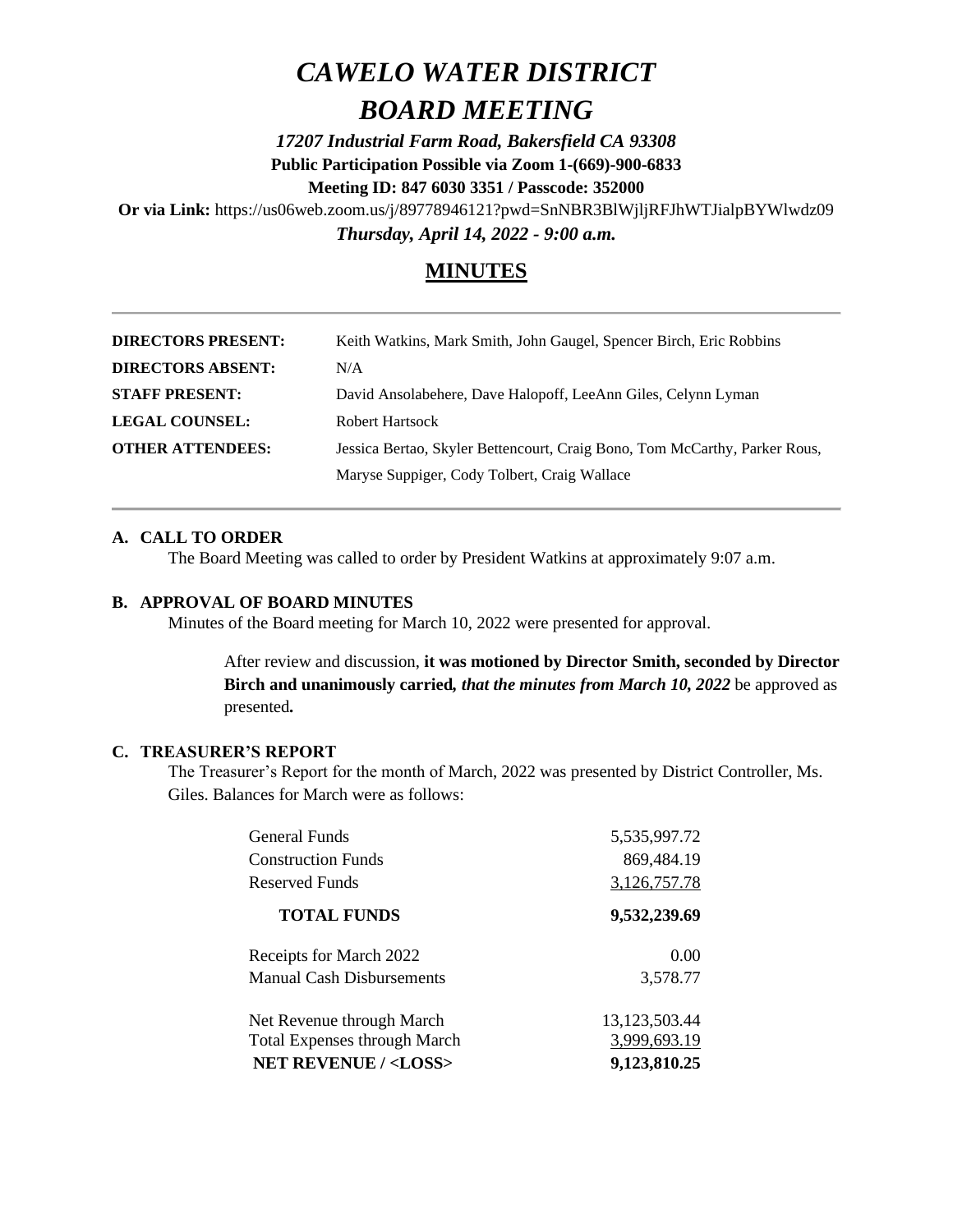# *CAWELO WATER DISTRICT BOARD MEETING*

*17207 Industrial Farm Road, Bakersfield CA 93308* **Public Participation Possible via Zoom 1-(669)-900-6833 Meeting ID: 847 6030 3351 / Passcode: 352000**

**Or via Link:** https://us06web.zoom.us/j/89778946121?pwd=SnNBR3BlWjljRFJhWTJialpBYWlwdz09 *Thursday, April 14, 2022 - 9:00 a.m.*

# **MINUTES**

| <b>DIRECTORS PRESENT:</b> | Keith Watkins, Mark Smith, John Gaugel, Spencer Birch, Eric Robbins        |
|---------------------------|----------------------------------------------------------------------------|
| <b>DIRECTORS ABSENT:</b>  | N/A                                                                        |
| <b>STAFF PRESENT:</b>     | David Ansolabehere, Dave Halopoff, LeeAnn Giles, Celynn Lyman              |
| <b>LEGAL COUNSEL:</b>     | Robert Hartsock                                                            |
| <b>OTHER ATTENDEES:</b>   | Jessica Bertao, Skyler Bettencourt, Craig Bono, Tom McCarthy, Parker Rous, |
|                           | Maryse Suppiger, Cody Tolbert, Craig Wallace                               |

## **A. CALL TO ORDER**

The Board Meeting was called to order by President Watkins at approximately 9:07 a.m.

## **B. APPROVAL OF BOARD MINUTES**

Minutes of the Board meeting for March 10, 2022 were presented for approval.

After review and discussion, **it was motioned by Director Smith, seconded by Director Birch and unanimously carried***, that the minutes from March 10, 2022* be approved as presented*.*

### **C. TREASURER'S REPORT**

The Treasurer's Report for the month of March, 2022 was presented by District Controller, Ms. Giles. Balances for March were as follows:

| General Funds                       | 5,535,997.72     |
|-------------------------------------|------------------|
| <b>Construction Funds</b>           | 869,484.19       |
| Reserved Funds                      | 3,126,757.78     |
| <b>TOTAL FUNDS</b>                  | 9,532,239.69     |
| Receipts for March 2022             | 0.00             |
| <b>Manual Cash Disbursements</b>    | 3,578.77         |
| Net Revenue through March           | 13, 123, 503. 44 |
| <b>Total Expenses through March</b> | 3,999,693.19     |
| <b>NET REVENUE / <loss></loss></b>  | 9,123,810.25     |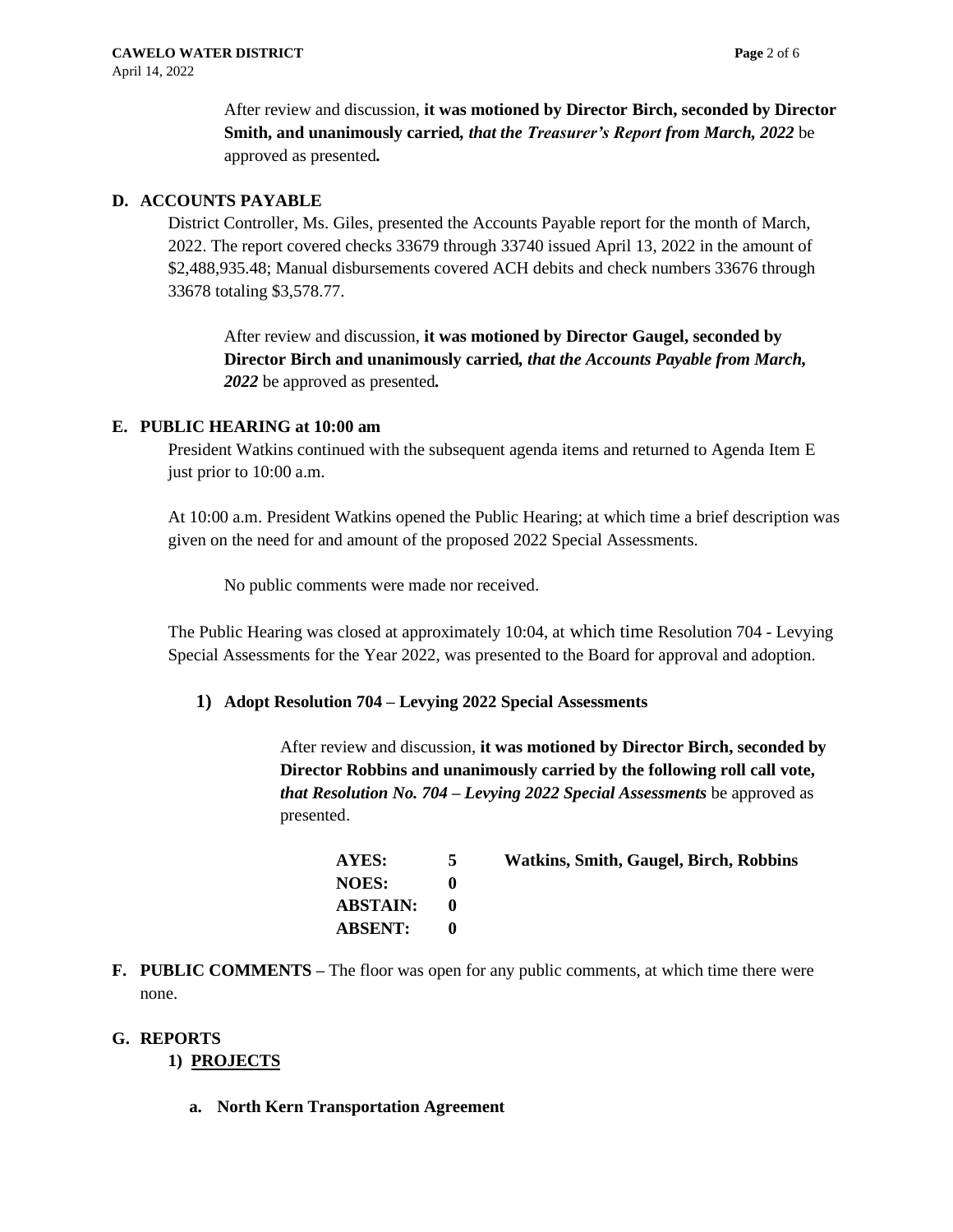After review and discussion, **it was motioned by Director Birch, seconded by Director Smith, and unanimously carried***, that the Treasurer's Report from March, 2022* be approved as presented*.*

## **D. ACCOUNTS PAYABLE**

District Controller, Ms. Giles, presented the Accounts Payable report for the month of March, 2022. The report covered checks 33679 through 33740 issued April 13, 2022 in the amount of \$2,488,935.48; Manual disbursements covered ACH debits and check numbers 33676 through 33678 totaling \$3,578.77.

After review and discussion, **it was motioned by Director Gaugel, seconded by Director Birch and unanimously carried***, that the Accounts Payable from March, 2022* be approved as presented*.*

## **E. PUBLIC HEARING at 10:00 am**

President Watkins continued with the subsequent agenda items and returned to Agenda Item E just prior to 10:00 a.m.

At 10:00 a.m. President Watkins opened the Public Hearing; at which time a brief description was given on the need for and amount of the proposed 2022 Special Assessments.

No public comments were made nor received.

The Public Hearing was closed at approximately 10:04, at which time Resolution 704 - Levying Special Assessments for the Year 2022, was presented to the Board for approval and adoption.

### **1) Adopt Resolution 704 – Levying 2022 Special Assessments**

After review and discussion, **it was motioned by Director Birch, seconded by Director Robbins and unanimously carried by the following roll call vote,**  *that Resolution No. 704 – Levying 2022 Special Assessments* be approved as presented.

| <b>AYES:</b>    | 5 | <b>Watkins, Smith, Gaugel, Birch, Robbins</b> |
|-----------------|---|-----------------------------------------------|
| <b>NOES:</b>    |   |                                               |
| <b>ABSTAIN:</b> |   |                                               |
| <b>ABSENT:</b>  |   |                                               |

**F. PUBLIC COMMENTS –** The floor was open for any public comments, at which time there were none.

### **G. REPORTS**

## **1) PROJECTS**

**a. North Kern Transportation Agreement**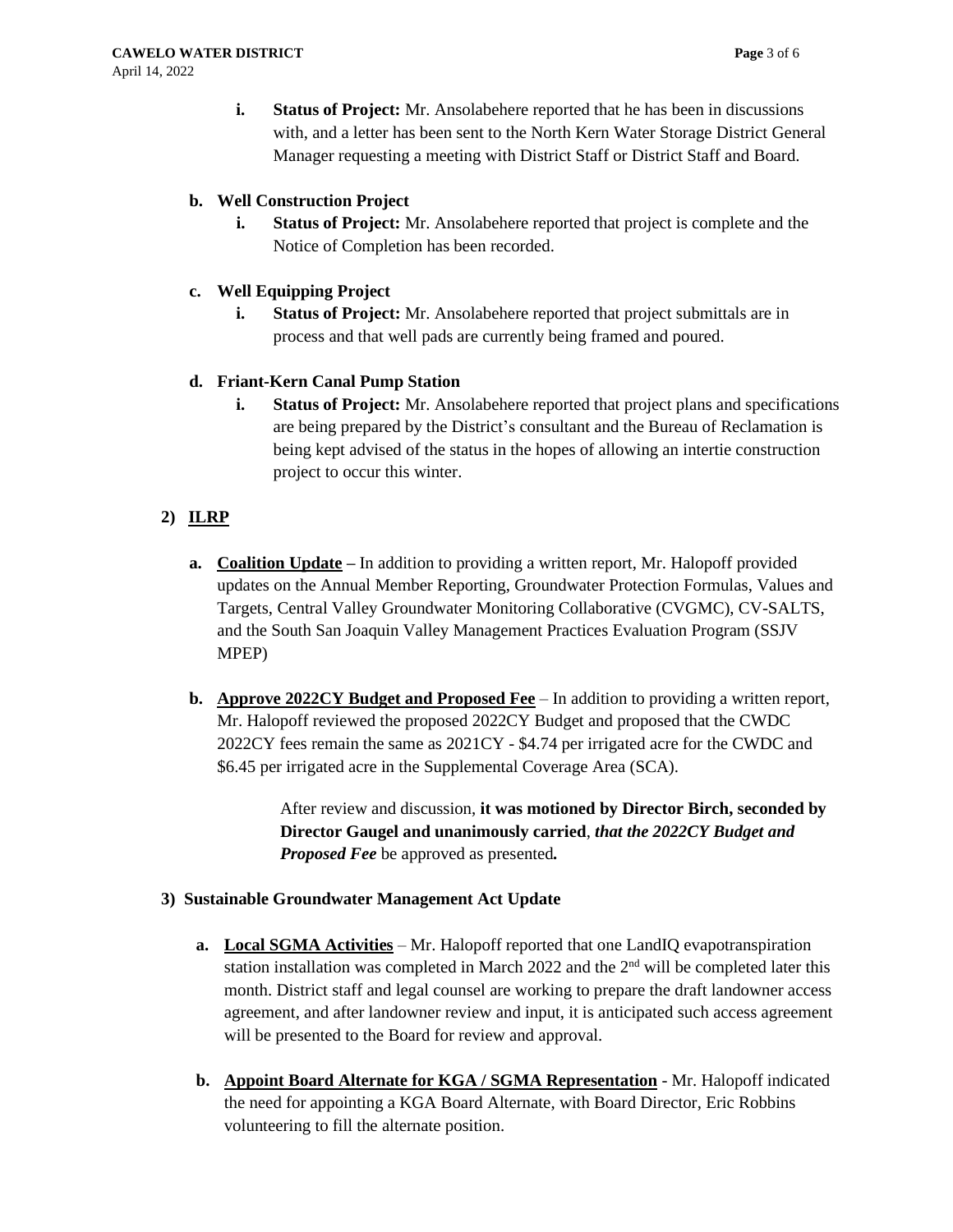## **b. Well Construction Project**

**i. Status of Project:** Mr. Ansolabehere reported that project is complete and the Notice of Completion has been recorded.

## **c. Well Equipping Project**

**i. Status of Project:** Mr. Ansolabehere reported that project submittals are in process and that well pads are currently being framed and poured.

## **d. Friant-Kern Canal Pump Station**

**i. Status of Project:** Mr. Ansolabehere reported that project plans and specifications are being prepared by the District's consultant and the Bureau of Reclamation is being kept advised of the status in the hopes of allowing an intertie construction project to occur this winter.

# **2) ILRP**

- **a. Coalition Update –** In addition to providing a written report, Mr. Halopoff provided updates on the Annual Member Reporting, Groundwater Protection Formulas, Values and Targets, Central Valley Groundwater Monitoring Collaborative (CVGMC), CV-SALTS, and the South San Joaquin Valley Management Practices Evaluation Program (SSJV MPEP)
- **b. Approve 2022CY Budget and Proposed Fee** In addition to providing a written report, Mr. Halopoff reviewed the proposed 2022CY Budget and proposed that the CWDC 2022CY fees remain the same as 2021CY - \$4.74 per irrigated acre for the CWDC and \$6.45 per irrigated acre in the Supplemental Coverage Area (SCA).

After review and discussion, **it was motioned by Director Birch, seconded by Director Gaugel and unanimously carried**, *that the 2022CY Budget and Proposed Fee* be approved as presented*.*

## **3) Sustainable Groundwater Management Act Update**

- **a. Local SGMA Activities** Mr. Halopoff reported that one LandIQ evapotranspiration station installation was completed in March 2022 and the  $2<sup>nd</sup>$  will be completed later this month. District staff and legal counsel are working to prepare the draft landowner access agreement, and after landowner review and input, it is anticipated such access agreement will be presented to the Board for review and approval.
- **b. Appoint Board Alternate for KGA / SGMA Representation** Mr. Halopoff indicated the need for appointing a KGA Board Alternate, with Board Director, Eric Robbins volunteering to fill the alternate position.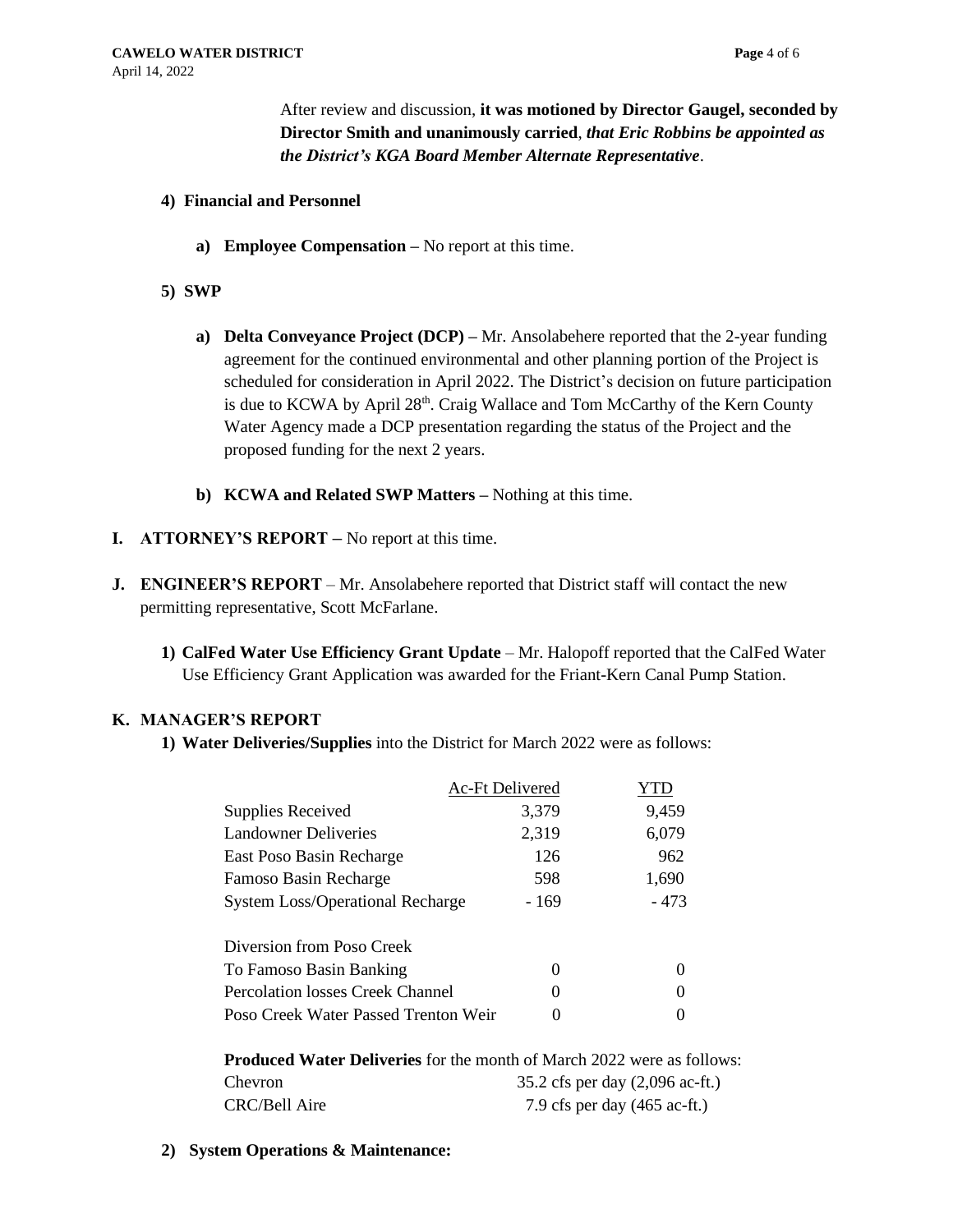After review and discussion, **it was motioned by Director Gaugel, seconded by Director Smith and unanimously carried**, *that Eric Robbins be appointed as the District's KGA Board Member Alternate Representative*.

## **4) Financial and Personnel**

- **a) Employee Compensation –** No report at this time.
- **5) SWP**
	- **a) Delta Conveyance Project (DCP) –** Mr. Ansolabehere reported that the 2-year funding agreement for the continued environmental and other planning portion of the Project is scheduled for consideration in April 2022. The District's decision on future participation is due to KCWA by April  $28<sup>th</sup>$ . Craig Wallace and Tom McCarthy of the Kern County Water Agency made a DCP presentation regarding the status of the Project and the proposed funding for the next 2 years.
	- **b) KCWA and Related SWP Matters –** Nothing at this time.
- **I. ATTORNEY'S REPORT –** No report at this time.
- **J. ENGINEER'S REPORT** Mr. Ansolabehere reported that District staff will contact the new permitting representative, Scott McFarlane.
	- **1) CalFed Water Use Efficiency Grant Update**  Mr. Halopoff reported that the CalFed Water Use Efficiency Grant Application was awarded for the Friant-Kern Canal Pump Station.

### **K. MANAGER'S REPORT**

**1) Water Deliveries/Supplies** into the District for March 2022 were as follows:

|                                         | <b>Ac-Ft Delivered</b> |          |
|-----------------------------------------|------------------------|----------|
| Supplies Received                       | 3,379                  | 9,459    |
| <b>Landowner Deliveries</b>             | 2,319                  | 6,079    |
| East Poso Basin Recharge                | 126                    | 962      |
| Famoso Basin Recharge                   | 598                    | 1,690    |
| <b>System Loss/Operational Recharge</b> | - 169                  | $-473$   |
| Diversion from Poso Creek               |                        |          |
| To Famoso Basin Banking                 | 0                      |          |
| Percolation losses Creek Channel        | $\theta$               | $\theta$ |
| Poso Creek Water Passed Trenton Weir    | 0                      |          |

| <b>Produced Water Deliveries</b> for the month of March 2022 were as follows: |                                            |  |
|-------------------------------------------------------------------------------|--------------------------------------------|--|
| Chevron                                                                       | 35.2 cfs per day $(2,096 \text{ ac-fit.})$ |  |
| CRC/Bell Aire                                                                 | 7.9 cfs per day $(465 \text{ ac-fit.})$    |  |

**2) System Operations & Maintenance:**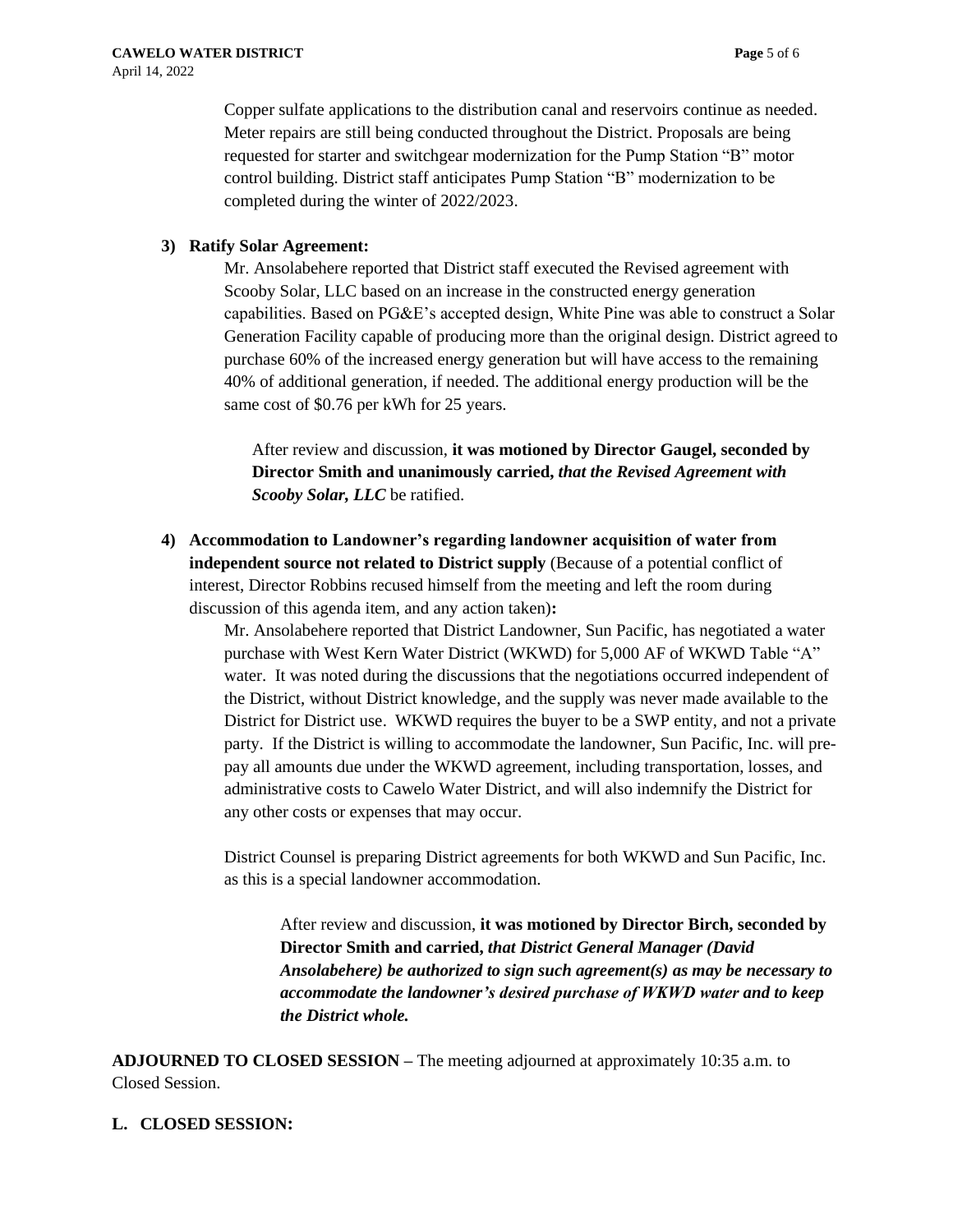Copper sulfate applications to the distribution canal and reservoirs continue as needed. Meter repairs are still being conducted throughout the District. Proposals are being requested for starter and switchgear modernization for the Pump Station "B" motor control building. District staff anticipates Pump Station "B" modernization to be completed during the winter of 2022/2023.

## **3) Ratify Solar Agreement:**

Mr. Ansolabehere reported that District staff executed the Revised agreement with Scooby Solar, LLC based on an increase in the constructed energy generation capabilities. Based on PG&E's accepted design, White Pine was able to construct a Solar Generation Facility capable of producing more than the original design. District agreed to purchase 60% of the increased energy generation but will have access to the remaining 40% of additional generation, if needed. The additional energy production will be the same cost of \$0.76 per kWh for 25 years.

After review and discussion, **it was motioned by Director Gaugel, seconded by Director Smith and unanimously carried,** *that the Revised Agreement with Scooby Solar, LLC* be ratified.

**4) Accommodation to Landowner's regarding landowner acquisition of water from independent source not related to District supply** (Because of a potential conflict of interest, Director Robbins recused himself from the meeting and left the room during discussion of this agenda item, and any action taken)**:**

> Mr. Ansolabehere reported that District Landowner, Sun Pacific, has negotiated a water purchase with West Kern Water District (WKWD) for 5,000 AF of WKWD Table "A" water. It was noted during the discussions that the negotiations occurred independent of the District, without District knowledge, and the supply was never made available to the District for District use. WKWD requires the buyer to be a SWP entity, and not a private party. If the District is willing to accommodate the landowner, Sun Pacific, Inc. will prepay all amounts due under the WKWD agreement, including transportation, losses, and administrative costs to Cawelo Water District, and will also indemnify the District for any other costs or expenses that may occur.

District Counsel is preparing District agreements for both WKWD and Sun Pacific, Inc. as this is a special landowner accommodation.

After review and discussion, **it was motioned by Director Birch, seconded by Director Smith and carried,** *that District General Manager (David Ansolabehere) be authorized to sign such agreement(s) as may be necessary to accommodate the landowner's desired purchase of WKWD water and to keep the District whole.* 

**ADJOURNED TO CLOSED SESSION –** The meeting adjourned at approximately 10:35 a.m. to Closed Session.

## **L. CLOSED SESSION:**